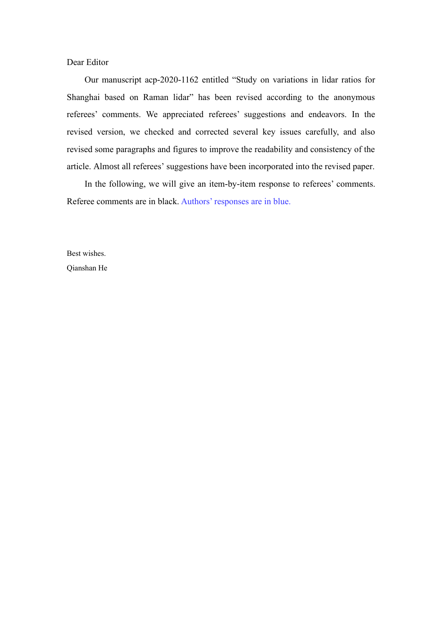## Dear Editor

Our manuscript acp-2020-1162 entitled "Study on variations in lidar ratios for Shanghai based on Raman lidar" has been revised according to the anonymous referees' comments. We appreciated referees' suggestions and endeavors. In the revised version, we checked and corrected several key issues carefully, and also revised some paragraphs and figures to improve the readability and consistency of the article. Almost all referees' suggestions have been incorporated into the revised paper.

In the following, we will give an item-by-item response to referees' comments. Referee comments are in black. Authors' responses are in blue.

Best wishes. Qianshan He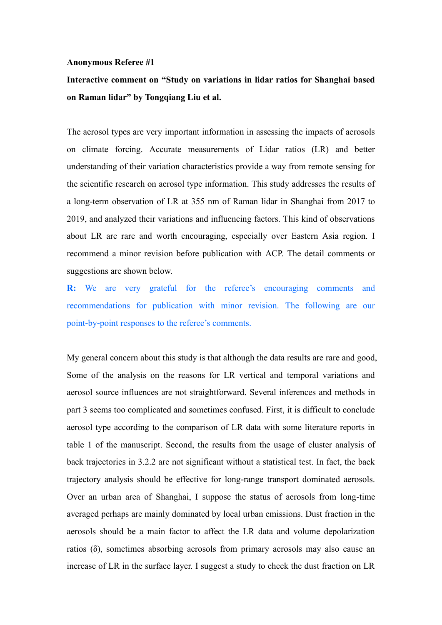#### **Anonymous Referee #1**

# **Interactive comment on "Study on variations in lidar ratios for Shanghai based on Raman lidar" by Tongqiang Liu et al.**

The aerosol types are very important information in assessing the impacts of aerosols on climate forcing. Accurate measurements of Lidar ratios (LR) and better understanding of their variation characteristics provide a way from remote sensing for the scientific research on aerosol type information. This study addresses the results of a long-term observation of LR at 355 nm of Raman lidar in Shanghai from 2017 to 2019, and analyzed their variations and influencing factors. This kind of observations about LR are rare and worth encouraging, especially over Eastern Asia region. I recommend a minor revision before publication with ACP. The detail comments or suggestions are shown below.

**R:** We are very grateful for the referee's encouraging comments and recommendations for publication with minor revision. The following are our point-by-point responses to the referee's comments.

My general concern about this study is that although the data results are rare and good, Some of the analysis on the reasons for LR vertical and temporal variations and aerosol source influences are not straightforward. Several inferences and methods in part 3 seems too complicated and sometimes confused. First, it is difficult to conclude aerosol type according to the comparison of LR data with some literature reports in table 1 of the manuscript. Second, the results from the usage of cluster analysis of back trajectories in 3.2.2 are not significant without a statistical test. In fact, the back trajectory analysis should be effective for long-range transport dominated aerosols. Over an urban area of Shanghai, I suppose the status of aerosols from long-time averaged perhaps are mainly dominated by local urban emissions. Dust fraction in the aerosols should be a main factor to affect the LR data and volume depolarization ratios (δ), sometimes absorbing aerosols from primary aerosols may also cause an increase of LR in the surface layer. I suggest a study to check the dust fraction on LR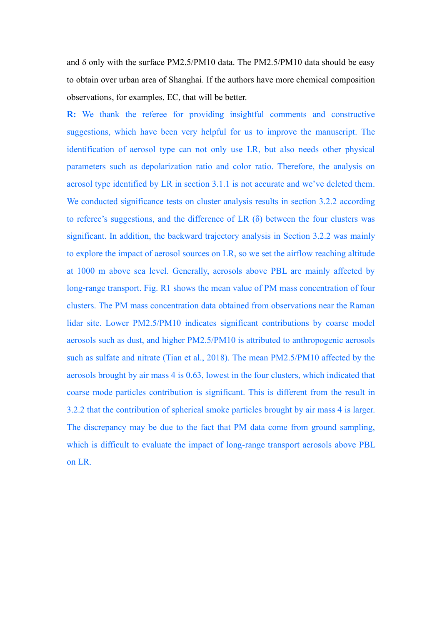and δ only with the surface PM2.5/PM10 data. The PM2.5/PM10 data should be easy to obtain over urban area of Shanghai. If the authors have more chemical composition observations, for examples, EC, that will be better.

**R:** We thank the referee for providing insightful comments and constructive suggestions, which have been very helpful for us to improve the manuscript. The identification of aerosol type can not only use LR, but also needs other physical parameters such as depolarization ratio and color ratio. Therefore, the analysis on aerosol type identified by LR in section 3.1.1 is not accurate and we've deleted them. We conducted significance tests on cluster analysis results in section 3.2.2 according to referee's suggestions, and the difference of LR  $(\delta)$  between the four clusters was significant. In addition, the backward trajectory analysis in Section 3.2.2 was mainly to explore the impact of aerosol sources on LR, so we set the airflow reaching altitude at 1000 m above sea level. Generally, aerosols above PBL are mainly affected by long-range transport. Fig. R1 shows the mean value of PM mass concentration of four clusters. The PM mass concentration data obtained from observations near the Raman lidar site. Lower PM2.5/PM10 indicates significant contributions by coarse model aerosols such as dust, and higher PM2.5/PM10 is attributed to anthropogenic aerosols such as sulfate and nitrate (Tian et al., 2018). The mean PM2.5/PM10 affected by the aerosols brought by air mass 4 is 0.63, lowest in the four clusters, which indicated that coarse mode particles contribution is significant. This is different from the result in 3.2.2 that the contribution of spherical smoke particles brought by air mass 4 is larger. The discrepancy may be due to the fact that PM data come from ground sampling, which is difficult to evaluate the impact of long-range transport aerosols above PBL on LR.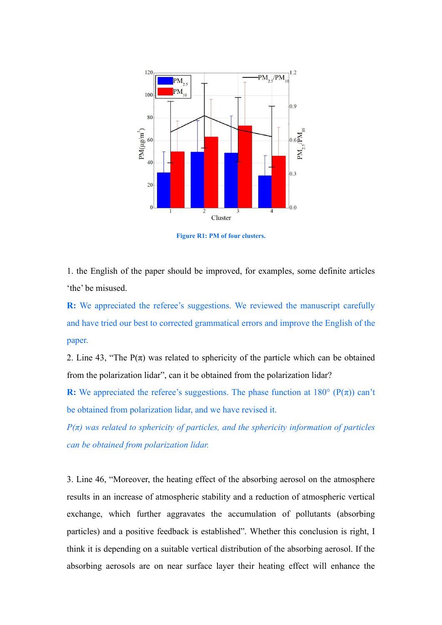

**Figure R1: PM of four clusters.**

1. the English of the paper should be improved, for examples, some definite articles 'the' be misused.

**R:** We appreciated the referee's suggestions. We reviewed the manuscript carefully and have tried our best to corrected grammatical errors and improve the English of the paper.

2. Line 43, "The  $P(\pi)$  was related to sphericity of the particle which can be obtained from the polarization lidar", can it be obtained from the polarization lidar?

**R:** We appreciated the referee's suggestions. The phase function at  $180^{\circ}$  (P( $\pi$ )) can't be obtained from polarization lidar, and we have revised it.

*P(π) was related to sphericity of particles, and the sphericity information of particles can be obtained from polarization lidar.*

3. Line 46, "Moreover, the heating effect of the absorbing aerosol on the atmosphere results in an increase of atmospheric stability and a reduction of atmospheric vertical exchange, which further aggravates the accumulation of pollutants (absorbing particles) and a positive feedback is established". Whether this conclusion is right, I think it is depending on a suitable vertical distribution of the absorbing aerosol. If the absorbing aerosols are on near surface layer their heating effect will enhance the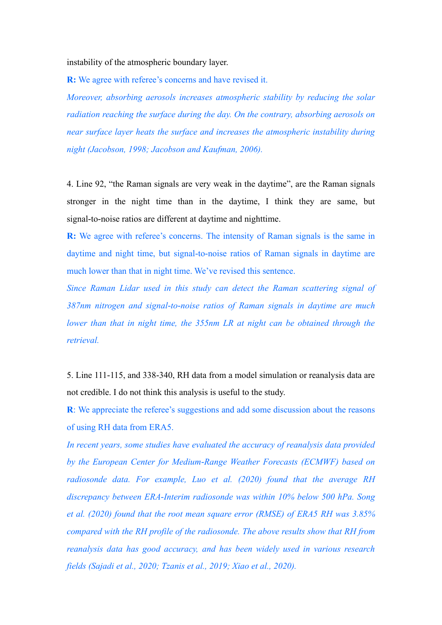instability of the atmospheric boundary layer.

**R:** We agree with referee's concerns and have revised it.

*Moreover, absorbing aerosols increases atmospheric stability by reducing the solar radiation reaching the surface during the day. On the contrary, absorbing aerosols on near surface layer heats the surface and increases the atmospheric instability during night (Jacobson, 1998; Jacobson and Kaufman, 2006).*

4. Line 92, "the Raman signals are very weak in the daytime", are the Raman signals stronger in the night time than in the daytime, I think they are same, but signal-to-noise ratios are different at daytime and nighttime.

**R:** We agree with referee's concerns. The intensity of Raman signals is the same in daytime and night time, but signal-to-noise ratios of Raman signals in daytime are much lower than that in night time. We've revised this sentence.

*Since Raman Lidar used in this study can detect the Raman scattering signal of 387nm nitrogen and signal-to-noise ratios of Raman signals in daytime are much lower than that in night time, the 355nm LR at night can be obtained through the retrieval.*

5. Line 111-115, and 338-340, RH data from a model simulation or reanalysis data are not credible. I do not think this analysis is useful to the study.

**R**: We appreciate the referee's suggestions and add some discussion about the reasons of using RH data from ERA5.

*In recent years, some studies have evaluated the accuracy of reanalysis data provided by the European Center for Medium-Range Weather Forecasts (ECMWF) based on radiosonde data. For example, Luo et al. (2020) found that the average RH discrepancy between ERA-Interim radiosonde was within 10% below 500 hPa. Song et al. (2020) found that the root mean square error (RMSE) of ERA5 RH was 3.85% compared with the RH profile of the radiosonde. The above results show that RH from reanalysis data has good accuracy, and has been widely used in various research fields (Sajadi et al., 2020; Tzanis et al., 2019; Xiao et al., 2020).*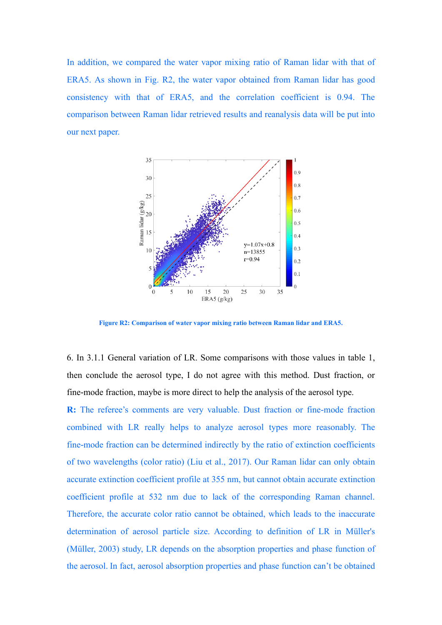In addition, we compared the water vapor mixing ratio of Raman lidar with that of ERA5. As shown in Fig. R2, the water vapor obtained from Raman lidar has good consistency with that of ERA5, and the correlation coefficient is 0.94. The comparison between Raman lidar retrieved results and reanalysis data will be put into our next paper.



**Figure R2: Comparison of water vapor mixing ratio between Raman lidar and ERA5.**

6. In 3.1.1 General variation of LR. Some comparisons with those values in table 1, then conclude the aerosol type, I do not agree with this method. Dust fraction, or fine-mode fraction, maybe is more direct to help the analysis of the aerosol type.

**R:** The referee's comments are very valuable. Dust fraction or fine-mode fraction combined with LR really helps to analyze aerosol types more reasonably. The fine-mode fraction can be determined indirectly by the ratio of extinction coefficients of two wavelengths (color ratio) (Liu et al., 2017). Our Raman lidar can only obtain accurate extinction coefficient profile at 355 nm, but cannot obtain accurate extinction coefficient profile at 532 nm due to lack of the corresponding Raman channel. Therefore, the accurate color ratio cannot be obtained, which leads to the inaccurate determination of aerosol particle size. According to definition of LR in Müller's (Müller, 2003) study, LR depends on the absorption properties and phase function of the aerosol. In fact, aerosol absorption properties and phase function can't be obtained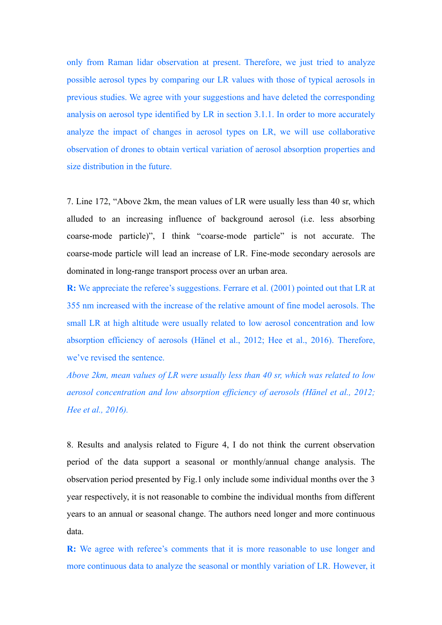only from Raman lidar observation at present. Therefore, we just tried to analyze possible aerosol types by comparing our LR values with those of typical aerosols in previous studies. We agree with your suggestions and have deleted the corresponding analysis on aerosol type identified by LR in section 3.1.1. In order to more accurately analyze the impact of changes in aerosol types on LR, we will use collaborative observation of drones to obtain vertical variation of aerosol absorption properties and size distribution in the future.

7. Line 172, "Above 2km, the mean values of LR were usually less than 40 sr, which alluded to an increasing influence of background aerosol (i.e. less absorbing coarse-mode particle)", I think "coarse-mode particle" is not accurate. The coarse-mode particle will lead an increase of LR. Fine-mode secondary aerosols are dominated in long-range transport process over an urban area.

**R:** We appreciate the referee's suggestions. Ferrare et al. (2001) pointed out that LR at 355 nm increased with the increase of the relative amount of fine model aerosols. The small LR at high altitude were usually related to low aerosol concentration and low absorption efficiency of aerosols (Hänel et al., 2012; Hee et al., 2016). Therefore, we've revised the sentence.

*Above 2km, mean values of LR were usually less than 40 sr, which was related to low aerosol concentration and low absorption efficiency of aerosols (Hänel et al., 2012; Hee et al., 2016).*

8. Results and analysis related to Figure 4, I do not think the current observation period of the data support a seasonal or monthly/annual change analysis. The observation period presented by Fig.1 only include some individual months over the 3 year respectively, it is not reasonable to combine the individual months from different years to an annual or seasonal change. The authors need longer and more continuous data.

**R:** We agree with referee's comments that it is more reasonable to use longer and more continuous data to analyze the seasonal or monthly variation of LR. However, it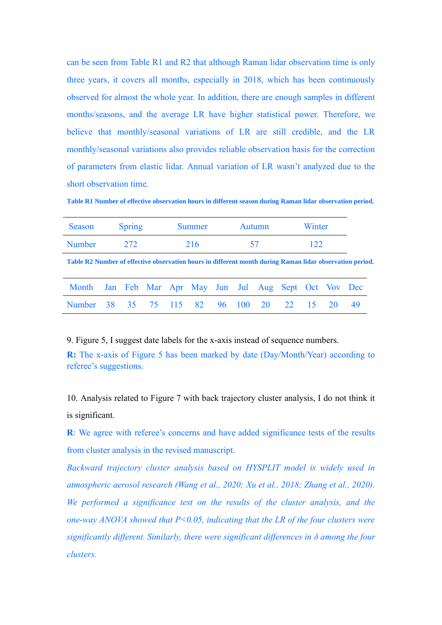can be seen from Table R1 and R2 that although Raman lidar observation time is only three years, it covers all months, especially in 2018, which has been continuously observed for almost the whole year. In addition, there are enough samples in different months/seasons, and the average LR have higher statistical power. Therefore, we believe that monthly/seasonal variations of LR are still credible, and the LR monthly/seasonal variations also provides reliable observation basis for the correction of parameters from elastic lidar. Annual variation of LR wasn't analyzed due to the short observation time.

**Table R1 Number of effective observation hours in different season during Raman lidar observation period.**

| Season                                                                                                   |     | Spring |  |  | Summer | <b>Autumn</b> |  |  | Winter |  |    |     |
|----------------------------------------------------------------------------------------------------------|-----|--------|--|--|--------|---------------|--|--|--------|--|----|-----|
| Number                                                                                                   | 272 |        |  |  | 216    | 57            |  |  | 122.   |  |    |     |
| Table R2 Number of effective observation hours in different month during Raman lidar observation period. |     |        |  |  |        |               |  |  |        |  |    |     |
| Month Jan Feb Mar Apr May Jun Jul Aug Sept Oct Vov Dec                                                   |     |        |  |  |        |               |  |  |        |  |    |     |
| Number 38 35 75 115 82 96 100 20 22 15                                                                   |     |        |  |  |        |               |  |  |        |  | 20 | -49 |

9. Figure 5, I suggest date labels for the x-axis instead of sequence numbers.

**R:** The x-axis of Figure 5 has been marked by date (Day/Month/Year) according to referee's suggestions.

10. Analysis related to Figure 7 with back trajectory cluster analysis, I do not think it is significant.

**R**: We agree with referee's concerns and have added significance tests of the results from cluster analysis in the revised manuscript.

*Backward trajectory cluster analysis based on HYSPLIT model is widely used in atmospheric aerosol research (Wang et al., 2020; Xu et al., 2018; Zhang et al., 2020). We performed a significance test on the results of the cluster analysis, and the one-way ANOVA showed that P<0.05, indicating that the LR of the four clusters were significantly different. Similarly, there were significant differences in δ among the four clusters.*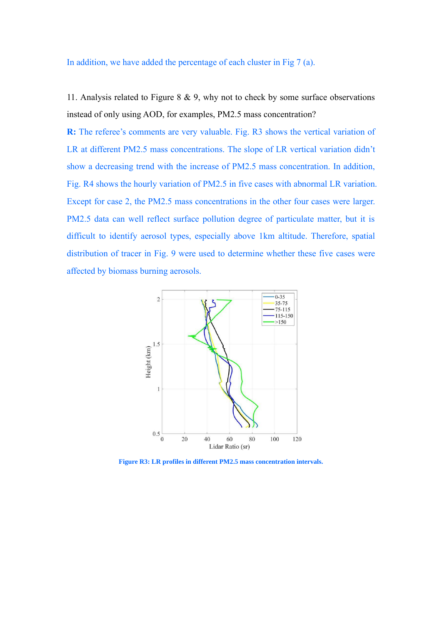In addition, we have added the percentage of each cluster in Fig 7 (a).

11. Analysis related to Figure 8 & 9, why not to check by some surface observations instead of only using AOD, for examples, PM2.5 mass concentration?

**R:** The referee's comments are very valuable. Fig. R3 shows the vertical variation of LR at different PM2.5 mass concentrations. The slope of LR vertical variation didn't show a decreasing trend with the increase of PM2.5 mass concentration. In addition, Fig. R4 shows the hourly variation of PM2.5 in five cases with abnormal LR variation. Except for case 2, the PM2.5 mass concentrations in the other four cases were larger. PM2.5 data can well reflect surface pollution degree of particulate matter, but it is difficult to identify aerosol types, especially above 1km altitude. Therefore, spatial distribution of tracer in Fig. 9 were used to determine whether these five cases were affected by biomass burning aerosols.



**Figure R3: LR profiles in different PM2.5 mass concentration intervals.**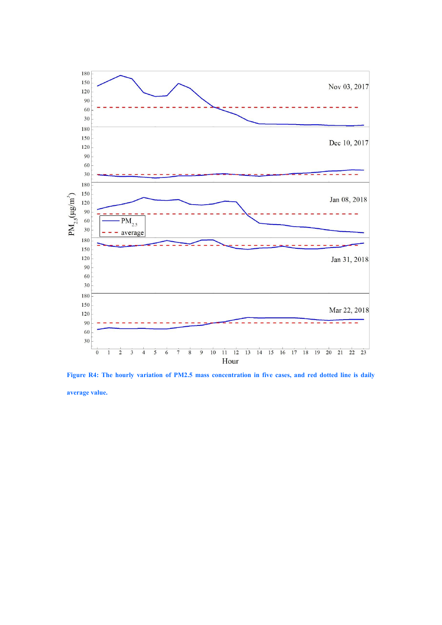

**Figure R4: The hourly variation of PM2.5 mass concentration in five cases, and red dotted line is daily average value.**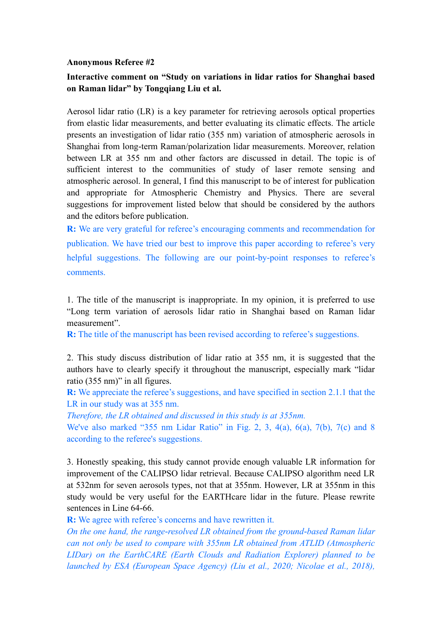### **Anonymous Referee #2**

# **Interactive comment on "Study on variations in lidar ratios for Shanghai based on Raman lidar" by Tongqiang Liu et al.**

Aerosol lidar ratio (LR) is a key parameter for retrieving aerosols optical properties from elastic lidar measurements, and better evaluating its climatic effects. The article presents an investigation of lidar ratio (355 nm) variation of atmospheric aerosols in Shanghai from long-term Raman/polarization lidar measurements. Moreover, relation between LR at 355 nm and other factors are discussed in detail. The topic is of sufficient interest to the communities of study of laser remote sensing and atmospheric aerosol. In general, I find this manuscript to be of interest for publication and appropriate for Atmospheric Chemistry and Physics. There are several suggestions for improvement listed below that should be considered by the authors and the editors before publication.

**R:** We are very grateful for referee's encouraging comments and recommendation for publication. We have tried our best to improve this paper according to referee's very helpful suggestions. The following are our point-by-point responses to referee's comments.

1. The title of the manuscript is inappropriate. In my opinion, it is preferred to use "Long term variation of aerosols lidar ratio in Shanghai based on Raman lidar measurement".

**R:** The title of the manuscript has been revised according to referee's suggestions.

2. This study discuss distribution of lidar ratio at 355 nm, it is suggested that the authors have to clearly specify it throughout the manuscript, especially mark "lidar ratio (355 nm)" in all figures.

**R:** We appreciate the referee's suggestions, and have specified in section 2.1.1 that the LR in our study was at 355 nm.

*Therefore, the LR obtained and discussed in this study is at 355nm.* 

We've also marked "355 nm Lidar Ratio" in Fig. 2, 3, 4(a), 6(a), 7(b), 7(c) and 8 according to the referee's suggestions.

3. Honestly speaking, this study cannot provide enough valuable LR information for improvement of the CALIPSO lidar retrieval. Because CALIPSO algorithm need LR at 532nm for seven aerosols types, not that at 355nm. However, LR at 355nm in this study would be very useful for the EARTHcare lidar in the future. Please rewrite sentences in Line 64-66.

**R:** We agree with referee's concerns and have rewritten it.

*On the one hand, the range-resolved LR obtained from the ground-based Raman lidar can not only be used to compare with 355nm LR obtained from ATLID (Atmospheric LIDar) on the EarthCARE (Earth Clouds and Radiation Explorer) planned to be launched by ESA (European Space Agency) (Liu et al., 2020; Nicolae et al., 2018),*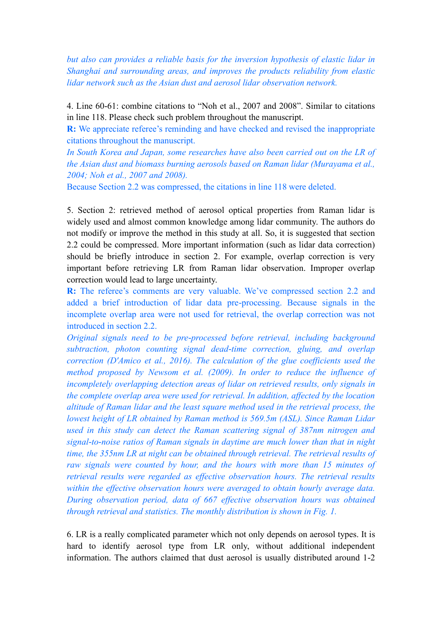*but also can provides a reliable basis for the inversion hypothesis of elastic lidar in Shanghai and surrounding areas, and improves the products reliability from elastic lidar network such as the Asian dust and aerosol lidar observation network.*

4. Line 60-61: combine citations to "Noh et al., 2007 and 2008". Similar to citations in line 118. Please check such problem throughout the manuscript.

**R:** We appreciate referee's reminding and have checked and revised the inappropriate citations throughout the manuscript.

*In South Korea and Japan, some researches have also been carried out on the LR of the Asian dust and biomass burning aerosols based on Raman lidar (Murayama et al., 2004; Noh et al., 2007 and 2008).*

Because Section 2.2 was compressed, the citations in line 118 were deleted.

5. Section 2: retrieved method of aerosol optical properties from Raman lidar is widely used and almost common knowledge among lidar community. The authors do not modify or improve the method in this study at all. So, it is suggested that section 2.2 could be compressed. More important information (such as lidar data correction) should be briefly introduce in section 2. For example, overlap correction is very important before retrieving LR from Raman lidar observation. Improper overlap correction would lead to large uncertainty.

**R:** The referee's comments are very valuable. We've compressed section 2.2 and added a brief introduction of lidar data pre-processing. Because signals in the incomplete overlap area were not used for retrieval, the overlap correction was not introduced in section 2.2.

*Original signals need to be pre-processed before retrieval, including background subtraction, photon counting signal dead-time correction, gluing, and overlap correction (D'Amico et al., 2016). The calculation of the glue coefficients used the method proposed by Newsom et al. (2009). In order to reduce the influence of incompletely overlapping detection areas of lidar on retrieved results, only signals in the complete overlap area were used for retrieval. In addition, affected by the location altitude of Raman lidar and the least square method used in the retrieval process, the lowest height of LR obtained by Raman method is 569.5m (ASL). Since Raman Lidar used in this study can detect the Raman scattering signal of 387nm nitrogen and signal-to-noise ratios of Raman signals in daytime are much lower than that in night time, the 355nm LR at night can be obtained through retrieval. The retrieval results of raw signals were counted by hour, and the hours with more than 15 minutes of retrieval results were regarded as effective observation hours. The retrieval results within the effective observation hours were averaged to obtain hourly average data. During observation period, data of 667 effective observation hours was obtained through retrieval and statistics. The monthly distribution is shown in Fig. 1.*

6. LR is a really complicated parameter which not only depends on aerosol types. It is hard to identify aerosol type from LR only, without additional independent information. The authors claimed that dust aerosol is usually distributed around 1-2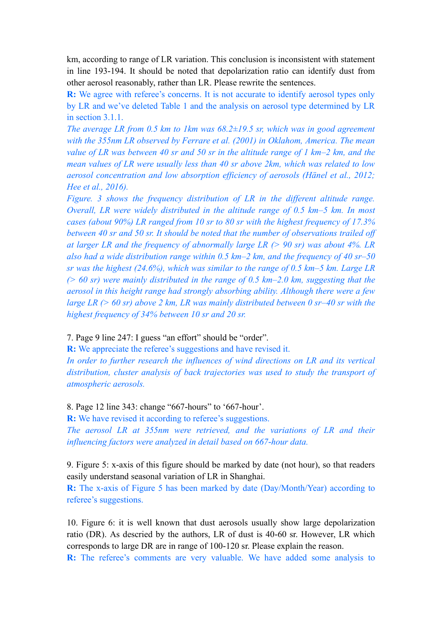km, according to range of LR variation. This conclusion is inconsistent with statement in line 193-194. It should be noted that depolarization ratio can identify dust from other aerosol reasonably, rather than LR. Please rewrite the sentences.

**R:** We agree with referee's concerns. It is not accurate to identify aerosol types only by LR and we've deleted Table 1 and the analysis on aerosol type determined by LR in section 3.1.1.

*The average LR from 0.5 km to 1km was 68.2±19.5 sr, which was in good agreement with the 355nm LR observed by Ferrare et al. (2001) in Oklahom, America. The mean value of LR was between 40 sr and 50 sr in the altitude range of 1 km–2 km, and the mean values of LR were usually less than 40 sr above 2km, which was related to low aerosol concentration and low absorption efficiency of aerosols (Hänel et al., 2012; Hee et al., 2016).*

*Figure. 3 shows the frequency distribution of LR in the different altitude range. Overall, LR were widely distributed in the altitude range of 0.5 km–5 km. In most cases (about 90%) LR ranged from 10 sr to 80 sr with the highest frequency of 17.3% between 40 sr and 50 sr. It should be noted that the number of observations trailed off at larger LR and the frequency of abnormally large LR (> 90 sr) was about 4%. LR also had a wide distribution range within 0.5 km–2 km, and the frequency of 40 sr–50 sr was the highest (24.6%), which was similar to the range of 0.5 km–5 km. Large LR (> 60 sr) were mainly distributed in the range of 0.5 km–2.0 km, suggesting that the aerosol in this height range had strongly absorbing ability. Although there were a few large LR (> 60 sr) above 2 km, LR was mainly distributed between 0 sr–40 sr with the highest frequency of 34% between 10 sr and 20 sr.*

## 7. Page 9 line 247: I guess "an effort" should be "order".

**R:** We appreciate the referee's suggestions and have revised it.

*In order to further research the influences of wind directions on LR and its vertical distribution, cluster analysis of back trajectories was used to study the transport of atmospheric aerosols.*

### 8. Page 12 line 343: change "667-hours" to '667-hour'.

**R:** We have revised it according to referee's suggestions.

*The aerosol LR at 355nm were retrieved, and the variations of LR and their influencing factors were analyzed in detail based on 667-hour data.*

9. Figure 5: x-axis of this figure should be marked by date (not hour), so that readers easily understand seasonal variation of LR in Shanghai.

**R:** The x-axis of Figure 5 has been marked by date (Day/Month/Year) according to referee's suggestions.

10. Figure 6: it is well known that dust aerosols usually show large depolarization ratio (DR). As descried by the authors, LR of dust is 40-60 sr. However, LR which corresponds to large DR are in range of 100-120 sr. Please explain the reason.

**R:** The referee's comments are very valuable. We have added some analysis to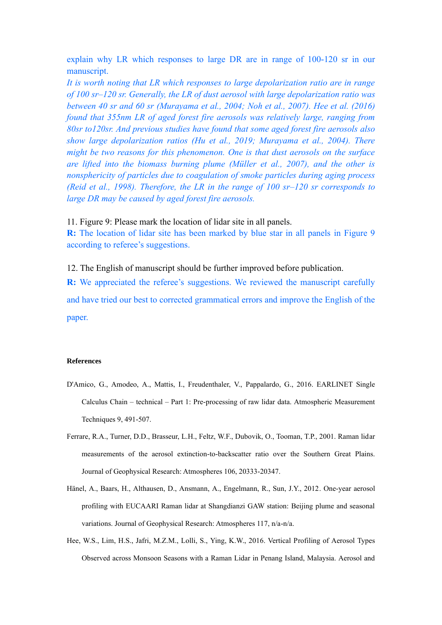explain why LR which responses to large DR are in range of 100-120 sr in our manuscript.

*It is worth noting that LR which responses to large depolarization ratio are in range of 100 sr–120 sr. Generally, the LR of dust aerosol with large depolarization ratio was between 40 sr and 60 sr (Murayama et al., 2004; Noh et al., 2007). Hee et al. (2016) found that 355nm LR of aged forest fire aerosols was relatively large, ranging from 80sr to120sr. And previous studies have found that some aged forest fire aerosols also show large depolarization ratios (Hu et al., 2019; Murayama et al., 2004). There might be two reasons for this phenomenon. One is that dust aerosols on the surface are lifted into the biomass burning plume (Müller et al., 2007), and the other is nonsphericity of particles due to coagulation of smoke particles during aging process (Reid et al., 1998). Therefore, the LR in the range of 100 sr–120 sr corresponds to large DR may be caused by aged forest fire aerosols.*

11. Figure 9: Please mark the location of lidar site in all panels.

**R:** The location of lidar site has been marked by blue star in all panels in Figure 9 according to referee's suggestions.

12. The English of manuscript should be further improved before publication.

**R:** We appreciated the referee's suggestions. We reviewed the manuscript carefully and have tried our best to corrected grammatical errors and improve the English of the paper.

### **References**

- D'Amico, G., Amodeo, A., Mattis, I., Freudenthaler, V., Pappalardo, G., 2016. EARLINET Single Calculus Chain – technical – Part 1: Pre-processing of raw lidar data. Atmospheric Measurement Techniques 9, 491-507.
- Ferrare, R.A., Turner, D.D., Brasseur, L.H., Feltz, W.F., Dubovik, O., Tooman, T.P., 2001. Raman lidar measurements of the aerosol extinction-to-backscatter ratio over the Southern Great Plains. Journal of Geophysical Research: Atmospheres 106, 20333-20347.
- Hänel, A., Baars, H., Althausen, D., Ansmann, A., Engelmann, R., Sun, J.Y., 2012. One-year aerosol profiling with EUCAARI Raman lidar at Shangdianzi GAW station: Beijing plume and seasonal variations. Journal of Geophysical Research: Atmospheres 117, n/a-n/a.
- Hee, W.S., Lim, H.S., Jafri, M.Z.M., Lolli, S., Ying, K.W., 2016. Vertical Profiling of Aerosol Types Observed across Monsoon Seasons with a Raman Lidar in Penang Island, Malaysia. Aerosol and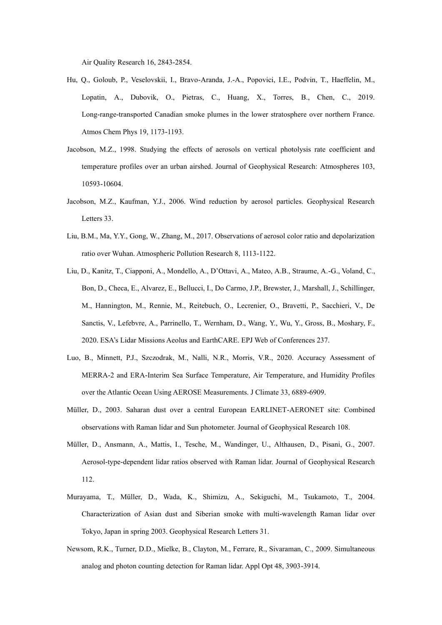Air Quality Research 16, 2843-2854.

- Hu, Q., Goloub, P., Veselovskii, I., Bravo-Aranda, J.-A., Popovici, I.E., Podvin, T., Haeffelin, M., Lopatin, A., Dubovik, O., Pietras, C., Huang, X., Torres, B., Chen, C., 2019. Long-range-transported Canadian smoke plumes in the lower stratosphere over northern France. Atmos Chem Phys 19, 1173-1193.
- Jacobson, M.Z., 1998. Studying the effects of aerosols on vertical photolysis rate coefficient and temperature profiles over an urban airshed. Journal of Geophysical Research: Atmospheres 103, 10593-10604.
- Jacobson, M.Z., Kaufman, Y.J., 2006. Wind reduction by aerosol particles. Geophysical Research Letters 33.
- Liu, B.M., Ma, Y.Y., Gong, W., Zhang, M., 2017. Observations of aerosol color ratio and depolarization ratio over Wuhan. Atmospheric Pollution Research 8, 1113-1122.
- Liu, D., Kanitz, T., Ciapponi, A., Mondello, A., D'Ottavi, A., Mateo, A.B., Straume, A.-G., Voland, C., Bon, D., Checa, E., Alvarez, E., Bellucci, I., Do Carmo, J.P., Brewster, J., Marshall, J., Schillinger, M., Hannington, M., Rennie, M., Reitebuch, O., Lecrenier, O., Bravetti, P., Sacchieri, V., De Sanctis, V., Lefebvre, A., Parrinello, T., Wernham, D., Wang, Y., Wu, Y., Gross, B., Moshary, F., 2020. ESA's Lidar Missions Aeolus and EarthCARE. EPJ Web of Conferences 237.
- Luo, B., Minnett, P.J., Szczodrak, M., Nalli, N.R., Morris, V.R., 2020. Accuracy Assessment of MERRA-2 and ERA-Interim Sea Surface Temperature, Air Temperature, and Humidity Profiles over the Atlantic Ocean Using AEROSE Measurements. J Climate 33, 6889-6909.
- Müller, D., 2003. Saharan dust over a central European EARLINET-AERONET site: Combined observations with Raman lidar and Sun photometer. Journal of Geophysical Research 108.
- Müller, D., Ansmann, A., Mattis, I., Tesche, M., Wandinger, U., Althausen, D., Pisani, G., 2007. Aerosol-type-dependent lidar ratios observed with Raman lidar. Journal of Geophysical Research 112.
- Murayama, T., Müller, D., Wada, K., Shimizu, A., Sekiguchi, M., Tsukamoto, T., 2004. Characterization of Asian dust and Siberian smoke with multi-wavelength Raman lidar over Tokyo, Japan in spring 2003. Geophysical Research Letters 31.
- Newsom, R.K., Turner, D.D., Mielke, B., Clayton, M., Ferrare, R., Sivaraman, C., 2009. Simultaneous analog and photon counting detection for Raman lidar. Appl Opt 48, 3903-3914.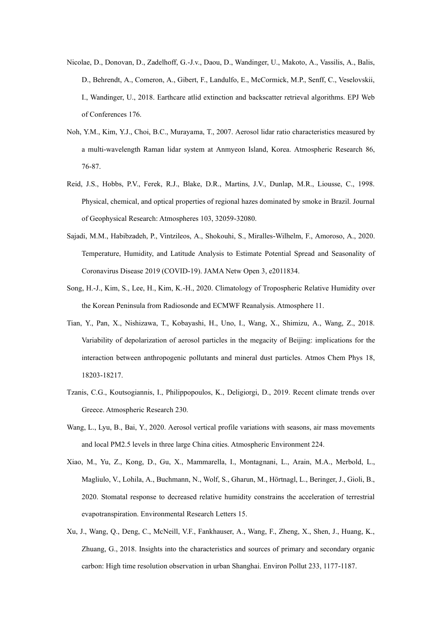- Nicolae, D., Donovan, D., Zadelhoff, G.-J.v., Daou, D., Wandinger, U., Makoto, A., Vassilis, A., Balis, D., Behrendt, A., Comeron, A., Gibert, F., Landulfo, E., McCormick, M.P., Senff, C., Veselovskii, I., Wandinger, U., 2018. Earthcare atlid extinction and backscatter retrieval algorithms. EPJ Web of Conferences 176.
- Noh, Y.M., Kim, Y.J., Choi, B.C., Murayama, T., 2007. Aerosol lidar ratio characteristics measured by a multi-wavelength Raman lidar system at Anmyeon Island, Korea. Atmospheric Research 86, 76-87.
- Reid, J.S., Hobbs, P.V., Ferek, R.J., Blake, D.R., Martins, J.V., Dunlap, M.R., Liousse, C., 1998. Physical, chemical, and optical properties of regional hazes dominated by smoke in Brazil. Journal of Geophysical Research: Atmospheres 103, 32059-32080.
- Sajadi, M.M., Habibzadeh, P., Vintzileos, A., Shokouhi, S., Miralles-Wilhelm, F., Amoroso, A., 2020. Temperature, Humidity, and Latitude Analysis to Estimate Potential Spread and Seasonality of Coronavirus Disease 2019 (COVID-19). JAMA Netw Open 3, e2011834.
- Song, H.-J., Kim, S., Lee, H., Kim, K.-H., 2020. Climatology of Tropospheric Relative Humidity over the Korean Peninsula from Radiosonde and ECMWF Reanalysis. Atmosphere 11.
- Tian, Y., Pan, X., Nishizawa, T., Kobayashi, H., Uno, I., Wang, X., Shimizu, A., Wang, Z., 2018. Variability of depolarization of aerosol particles in the megacity of Beijing: implications for the interaction between anthropogenic pollutants and mineral dust particles. Atmos Chem Phys 18, 18203-18217.
- Tzanis, C.G., Koutsogiannis, I., Philippopoulos, K., Deligiorgi, D., 2019. Recent climate trends over Greece. Atmospheric Research 230.
- Wang, L., Lyu, B., Bai, Y., 2020. Aerosol vertical profile variations with seasons, air mass movements and local PM2.5 levels in three large China cities. Atmospheric Environment 224.
- Xiao, M., Yu, Z., Kong, D., Gu, X., Mammarella, I., Montagnani, L., Arain, M.A., Merbold, L., Magliulo, V., Lohila, A., Buchmann, N., Wolf, S., Gharun, M., Hörtnagl, L., Beringer, J., Gioli, B., 2020. Stomatal response to decreased relative humidity constrains the acceleration of terrestrial evapotranspiration. Environmental Research Letters 15.
- Xu, J., Wang, Q., Deng, C., McNeill, V.F., Fankhauser, A., Wang, F., Zheng, X., Shen, J., Huang, K., Zhuang, G., 2018. Insights into the characteristics and sources of primary and secondary organic carbon: High time resolution observation in urban Shanghai. Environ Pollut 233, 1177-1187.